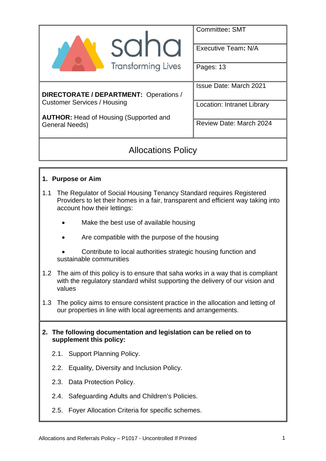|                                               | Committee: SMT                 |  |  |
|-----------------------------------------------|--------------------------------|--|--|
| <b>SUI IU</b>                                 | Executive Team: N/A            |  |  |
| <b>Transforming Lives</b>                     | Pages: 13                      |  |  |
|                                               | <b>Issue Date: March 2021</b>  |  |  |
| <b>DIRECTORATE / DEPARTMENT: Operations /</b> |                                |  |  |
| <b>Customer Services / Housing</b>            | Location: Intranet Library     |  |  |
| <b>AUTHOR:</b> Head of Housing (Supported and |                                |  |  |
| <b>General Needs)</b>                         | <b>Review Date: March 2024</b> |  |  |
|                                               |                                |  |  |
|                                               |                                |  |  |

# Allocations Policy

## **1. Purpose or Aim**

- 1.1 The Regulator of Social Housing Tenancy Standard requires Registered Providers to let their homes in a fair, transparent and efficient way taking into account how their lettings:
	- Make the best use of available housing
	- Are compatible with the purpose of the housing
	- Contribute to local authorities strategic housing function and sustainable communities
- 1.2 The aim of this policy is to ensure that saha works in a way that is compliant with the regulatory standard whilst supporting the delivery of our vision and values
- 1.3 The policy aims to ensure consistent practice in the allocation and letting of our properties in line with local agreements and arrangements.
- **2. The following documentation and legislation can be relied on to supplement this policy:** 
	- 2.1. Support Planning Policy.
	- 2.2. Equality, Diversity and Inclusion Policy.
	- 2.3. Data Protection Policy.
	- 2.4. Safeguarding Adults and Children's Policies.
	- 2.5. Foyer Allocation Criteria for specific schemes.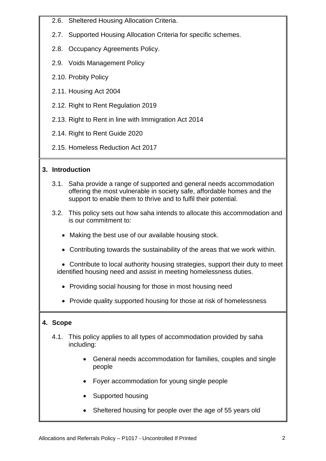- 2.6. Sheltered Housing Allocation Criteria.
- 2.7. Supported Housing Allocation Criteria for specific schemes.
- 2.8. Occupancy Agreements Policy.
- 2.9. Voids Management Policy
- 2.10. Probity Policy
- 2.11. Housing Act 2004
- 2.12. Right to Rent Regulation 2019
- 2.13. Right to Rent in line with Immigration Act 2014
- 2.14. Right to Rent Guide 2020
- 2.15. Homeless Reduction Act 2017

## **3. Introduction**

- 3.1. Saha provide a range of supported and general needs accommodation offering the most vulnerable in society safe, affordable homes and the support to enable them to thrive and to fulfil their potential.
- 3.2. This policy sets out how saha intends to allocate this accommodation and is our commitment to:
	- Making the best use of our available housing stock.
	- Contributing towards the sustainability of the areas that we work within.

 Contribute to local authority housing strategies, support their duty to meet identified housing need and assist in meeting homelessness duties.

- Providing social housing for those in most housing need
- Provide quality supported housing for those at risk of homelessness

#### **4. Scope**

- 4.1. This policy applies to all types of accommodation provided by saha including:
	- General needs accommodation for families, couples and single people
	- Foyer accommodation for young single people
	- Supported housing
	- Sheltered housing for people over the age of 55 years old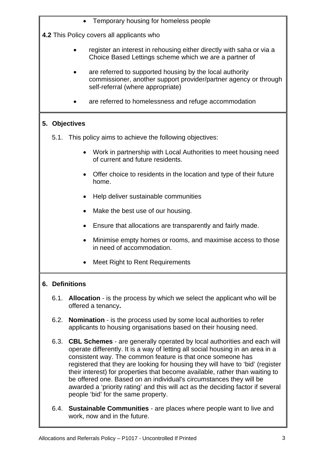Temporary housing for homeless people

**4.2** This Policy covers all applicants who

- register an interest in rehousing either directly with saha or via a Choice Based Lettings scheme which we are a partner of
- are referred to supported housing by the local authority commissioner, another support provider/partner agency or through self-referral (where appropriate)
- are referred to homelessness and refuge accommodation

# **5. Objectives**

- 5.1. This policy aims to achieve the following objectives:
	- Work in partnership with Local Authorities to meet housing need of current and future residents.
	- Offer choice to residents in the location and type of their future home.
	- Help deliver sustainable communities
	- Make the best use of our housing.
	- Ensure that allocations are transparently and fairly made.
	- Minimise empty homes or rooms, and maximise access to those in need of accommodation.
	- Meet Right to Rent Requirements

#### **6. Definitions**

- 6.1. **Allocation**  is the process by which we select the applicant who will be offered a tenancy**.**
- 6.2. **Nomination**  is the process used by some local authorities to refer applicants to housing organisations based on their housing need.
- 6.3. **CBL Schemes**  are generally operated by local authorities and each will operate differently. It is a way of letting all social housing in an area in a consistent way. The common feature is that once someone has registered that they are looking for housing they will have to 'bid' (register their interest) for properties that become available, rather than waiting to be offered one. Based on an individual's circumstances they will be awarded a 'priority rating' and this will act as the deciding factor if several people 'bid' for the same property.
- 6.4. **Sustainable Communities** are places where people want to live and work, now and in the future.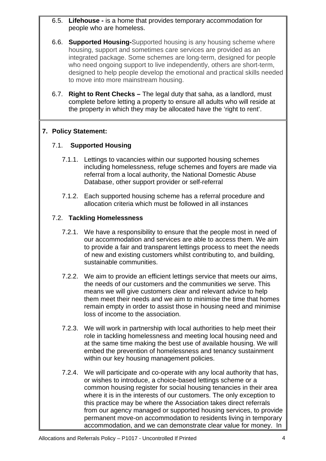- 6.5. **Lifehouse -** is a home that provides temporary accommodation for people who are homeless.
- 6.6. **Supported Housing-**Supported housing is any housing scheme where housing, support and sometimes care services are provided as an integrated package. Some schemes are long-term, designed for people who need ongoing support to live independently, others are short-term, designed to help people develop the emotional and practical skills needed to move into more mainstream housing.
- 6.7. **Right to Rent Checks** The legal duty that saha, as a landlord, must complete before letting a property to ensure all adults who will reside at the property in which they may be allocated have the 'right to rent'.

#### **7. Policy Statement:**

## 7.1. **Supported Housing**

- 7.1.1. Lettings to vacancies within our supported housing schemes including homelessness, refuge schemes and foyers are made via referral from a local authority, the National Domestic Abuse Database, other support provider or self-referral
- 7.1.2. Each supported housing scheme has a referral procedure and allocation criteria which must be followed in all instances

## 7.2. **Tackling Homelessness**

- 7.2.1. We have a responsibility to ensure that the people most in need of our accommodation and services are able to access them. We aim to provide a fair and transparent lettings process to meet the needs of new and existing customers whilst contributing to, and building, sustainable communities.
- 7.2.2. We aim to provide an efficient lettings service that meets our aims, the needs of our customers and the communities we serve. This means we will give customers clear and relevant advice to help them meet their needs and we aim to minimise the time that homes remain empty in order to assist those in housing need and minimise loss of income to the association.
- 7.2.3. We will work in partnership with local authorities to help meet their role in tackling homelessness and meeting local housing need and at the same time making the best use of available housing. We will embed the prevention of homelessness and tenancy sustainment within our key housing management policies.
- 7.2.4. We will participate and co-operate with any local authority that has, or wishes to introduce, a choice-based lettings scheme or a common housing register for social housing tenancies in their area where it is in the interests of our customers. The only exception to this practice may be where the Association takes direct referrals from our agency managed or supported housing services, to provide permanent move-on accommodation to residents living in temporary accommodation, and we can demonstrate clear value for money. In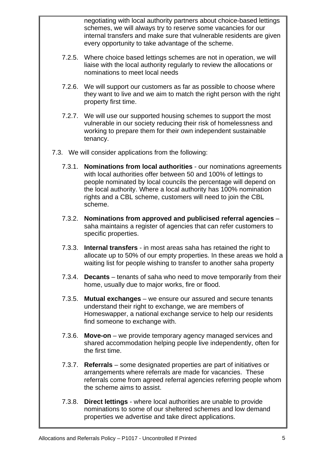negotiating with local authority partners about choice-based lettings schemes, we will always try to reserve some vacancies for our internal transfers and make sure that vulnerable residents are given every opportunity to take advantage of the scheme.

- 7.2.5. Where choice based lettings schemes are not in operation, we will liaise with the local authority regularly to review the allocations or nominations to meet local needs
- 7.2.6. We will support our customers as far as possible to choose where they want to live and we aim to match the right person with the right property first time.
- 7.2.7. We will use our supported housing schemes to support the most vulnerable in our society reducing their risk of homelessness and working to prepare them for their own independent sustainable tenancy.
- 7.3. We will consider applications from the following:
	- 7.3.1. **Nominations from local authorities**  our nominations agreements with local authorities offer between 50 and 100% of lettings to people nominated by local councils the percentage will depend on the local authority. Where a local authority has 100% nomination rights and a CBL scheme, customers will need to join the CBL scheme.
	- 7.3.2. **Nominations from approved and publicised referral agencies**  saha maintains a register of agencies that can refer customers to specific properties.
	- 7.3.3. **Internal transfers** in most areas saha has retained the right to allocate up to 50% of our empty properties. In these areas we hold a waiting list for people wishing to transfer to another saha property
	- 7.3.4. **Decants**  tenants of saha who need to move temporarily from their home, usually due to major works, fire or flood.
	- 7.3.5. **Mutual exchanges** we ensure our assured and secure tenants understand their right to exchange, we are members of Homeswapper, a national exchange service to help our residents find someone to exchange with.
	- 7.3.6. **Move-on**  we provide temporary agency managed services and shared accommodation helping people live independently, often for the first time.
	- 7.3.7. **Referrals** some designated properties are part of initiatives or arrangements where referrals are made for vacancies. These referrals come from agreed referral agencies referring people whom the scheme aims to assist.
	- 7.3.8. **Direct lettings** where local authorities are unable to provide nominations to some of our sheltered schemes and low demand properties we advertise and take direct applications.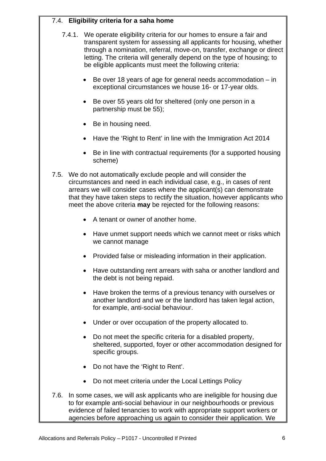# 7.4. **Eligibility criteria for a saha home**

- 7.4.1. We operate eligibility criteria for our homes to ensure a fair and transparent system for assessing all applicants for housing, whether through a nomination, referral, move-on, transfer, exchange or direct letting. The criteria will generally depend on the type of housing; to be eligible applicants must meet the following criteria:
	- $\bullet$  Be over 18 years of age for general needs accommodation  $-$  in exceptional circumstances we house 16- or 17-year olds.
	- Be over 55 years old for sheltered (only one person in a partnership must be 55);
	- Be in housing need.
	- Have the 'Right to Rent' in line with the Immigration Act 2014
	- Be in line with contractual requirements (for a supported housing scheme)
- 7.5. We do not automatically exclude people and will consider the circumstances and need in each individual case, e.g., in cases of rent arrears we will consider cases where the applicant(s) can demonstrate that they have taken steps to rectify the situation, however applicants who meet the above criteria **may** be rejected for the following reasons:
	- A tenant or owner of another home.
	- Have unmet support needs which we cannot meet or risks which we cannot manage
	- Provided false or misleading information in their application.
	- Have outstanding rent arrears with saha or another landlord and the debt is not being repaid.
	- Have broken the terms of a previous tenancy with ourselves or another landlord and we or the landlord has taken legal action, for example, anti-social behaviour.
	- Under or over occupation of the property allocated to.
	- Do not meet the specific criteria for a disabled property, sheltered, supported, foyer or other accommodation designed for specific groups.
	- Do not have the 'Right to Rent'.
	- Do not meet criteria under the Local Lettings Policy
- 7.6. In some cases, we will ask applicants who are ineligible for housing due to for example anti-social behaviour in our neighbourhoods or previous evidence of failed tenancies to work with appropriate support workers or agencies before approaching us again to consider their application. We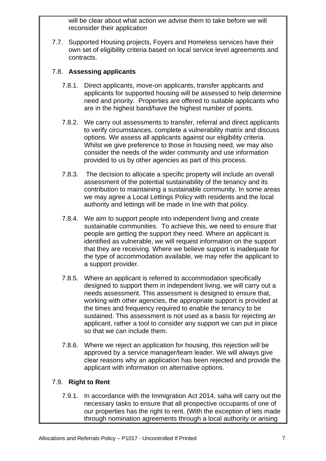will be clear about what action we advise them to take before we will reconsider their application

7.7. Supported Housing projects, Foyers and Homeless services have their own set of eligibility criteria based on local service level agreements and contracts.

## 7.8. **Assessing applicants**

- 7.8.1. Direct applicants, move-on applicants, transfer applicants and applicants for supported housing will be assessed to help determine need and priority. Properties are offered to suitable applicants who are in the highest band/have the highest number of points.
- 7.8.2. We carry out assessments to transfer, referral and direct applicants to verify circumstances, complete a vulnerability matrix and discuss options. We assess all applicants against our eligibility criteria. Whilst we give preference to those in housing need, we may also consider the needs of the wider community and use information provided to us by other agencies as part of this process.
- 7.8.3. The decision to allocate a specific property will include an overall assessment of the potential sustainability of the tenancy and its contribution to maintaining a sustainable community. In some areas we may agree a Local Lettings Policy with residents and the local authority and lettings will be made in line with that policy.
- 7.8.4. We aim to support people into independent living and create sustainable communities. To achieve this, we need to ensure that people are getting the support they need. Where an applicant is identified as vulnerable, we will request information on the support that they are receiving. Where we believe support is inadequate for the type of accommodation available, we may refer the applicant to a support provider.
- 7.8.5. Where an applicant is referred to accommodation specifically designed to support them in independent living, we will carry out a needs assessment. This assessment is designed to ensure that, working with other agencies, the appropriate support is provided at the times and frequency required to enable the tenancy to be sustained. This assessment is not used as a basis for rejecting an applicant, rather a tool to consider any support we can put in place so that we can include them.
- 7.8.6. Where we reject an application for housing, this rejection will be approved by a service manager/team leader. We will always give clear reasons why an application has been rejected and provide the applicant with information on alternative options.

#### 7.9. **Right to Rent**

7.9.1. In accordance with the Immigration Act 2014, saha will carry out the necessary tasks to ensure that all prospective occupants of one of our properties has the right to rent. (With the exception of lets made through nomination agreements through a local authority or arising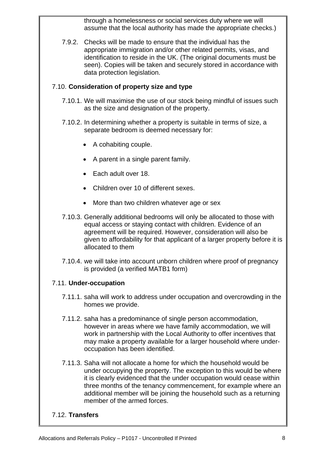through a homelessness or social services duty where we will assume that the local authority has made the appropriate checks.)

7.9.2. Checks will be made to ensure that the individual has the appropriate immigration and/or other related permits, visas, and identification to reside in the UK. (The original documents must be seen). Copies will be taken and securely stored in accordance with data protection legislation.

#### 7.10. **Consideration of property size and type**

- 7.10.1. We will maximise the use of our stock being mindful of issues such as the size and designation of the property.
- 7.10.2. In determining whether a property is suitable in terms of size, a separate bedroom is deemed necessary for:
	- A cohabiting couple.
	- A parent in a single parent family.
	- Each adult over 18.
	- Children over 10 of different sexes.
	- More than two children whatever age or sex
- 7.10.3. Generally additional bedrooms will only be allocated to those with equal access or staying contact with children. Evidence of an agreement will be required. However, consideration will also be given to affordability for that applicant of a larger property before it is allocated to them
- 7.10.4. we will take into account unborn children where proof of pregnancy is provided (a verified MATB1 form)

#### 7.11. **Under-occupation**

- 7.11.1. saha will work to address under occupation and overcrowding in the homes we provide.
- 7.11.2. saha has a predominance of single person accommodation, however in areas where we have family accommodation, we will work in partnership with the Local Authority to offer incentives that may make a property available for a larger household where underoccupation has been identified.
- 7.11.3. Saha will not allocate a home for which the household would be under occupying the property. The exception to this would be where it is clearly evidenced that the under occupation would cease within three months of the tenancy commencement, for example where an additional member will be joining the household such as a returning member of the armed forces.

#### 7.12. **Transfers**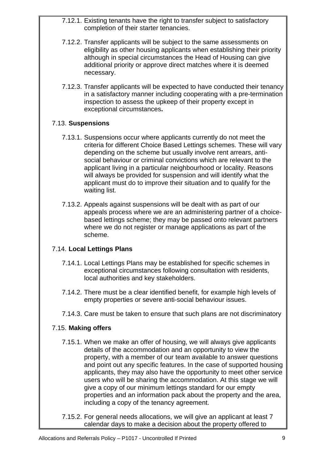- 7.12.1. Existing tenants have the right to transfer subject to satisfactory completion of their starter tenancies.
- 7.12.2. Transfer applicants will be subject to the same assessments on eligibility as other housing applicants when establishing their priority although in special circumstances the Head of Housing can give additional priority or approve direct matches where it is deemed necessary.
- 7.12.3. Transfer applicants will be expected to have conducted their tenancy in a satisfactory manner including cooperating with a pre-termination inspection to assess the upkeep of their property except in exceptional circumstances**.**

## 7.13. **Suspensions**

- 7.13.1. Suspensions occur where applicants currently do not meet the criteria for different Choice Based Lettings schemes. These will vary depending on the scheme but usually involve rent arrears, antisocial behaviour or criminal convictions which are relevant to the applicant living in a particular neighbourhood or locality. Reasons will always be provided for suspension and will identify what the applicant must do to improve their situation and to qualify for the waiting list.
- 7.13.2. Appeals against suspensions will be dealt with as part of our appeals process where we are an administering partner of a choicebased lettings scheme; they may be passed onto relevant partners where we do not register or manage applications as part of the scheme.

# 7.14. **Local Lettings Plans**

- 7.14.1. Local Lettings Plans may be established for specific schemes in exceptional circumstances following consultation with residents, local authorities and key stakeholders.
- 7.14.2. There must be a clear identified benefit, for example high levels of empty properties or severe anti-social behaviour issues.
- 7.14.3. Care must be taken to ensure that such plans are not discriminatory

# 7.15. **Making offers**

- 7.15.1. When we make an offer of housing, we will always give applicants details of the accommodation and an opportunity to view the property, with a member of our team available to answer questions and point out any specific features. In the case of supported housing applicants, they may also have the opportunity to meet other service users who will be sharing the accommodation. At this stage we will give a copy of our minimum lettings standard for our empty properties and an information pack about the property and the area, including a copy of the tenancy agreement.
- 7.15.2. For general needs allocations, we will give an applicant at least 7 calendar days to make a decision about the property offered to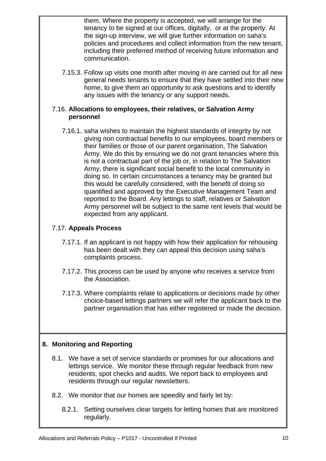them. Where the property is accepted, we will arrange for the tenancy to be signed at our offices, digitally, or at the property. At the sign-up interview, we will give further information on saha's policies and procedures and collect information from the new tenant, including their preferred method of receiving future information and communication.

7.15.3. Follow up visits one month after moving in are carried out for all new general needs tenants to ensure that they have settled into their new home, to give them an opportunity to ask questions and to identify any issues with the tenancy or any support needs.

#### 7.16. **Allocations to employees, their relatives, or Salvation Army personnel**

7.16.1. saha wishes to maintain the highest standards of integrity by not giving non contractual benefits to our employees, board members or their families or those of our parent organisation, The Salvation Army. We do this by ensuring we do not grant tenancies where this is not a contractual part of the job or, in relation to The Salvation Army, there is significant social benefit to the local community in doing so. In certain circumstances a tenancy may be granted but this would be carefully considered, with the benefit of doing so quantified and approved by the Executive Management Team and reported to the Board. Any lettings to staff, relatives or Salvation Army personnel will be subject to the same rent levels that would be expected from any applicant.

## 7.17. **Appeals Process**

- 7.17.1. If an applicant is not happy with how their application for rehousing has been dealt with they can appeal this decision using saha's complaints process.
- 7.17.2. This process can be used by anyone who receives a service from the Association.
- 7.17.3. Where complaints relate to applications or decisions made by other choice-based lettings partners we will refer the applicant back to the partner organisation that has either registered or made the decision.

# **8. Monitoring and Reporting**

- 8.1. We have a set of service standards or promises for our allocations and lettings service. We monitor these through regular feedback from new residents, spot checks and audits. We report back to employees and residents through our regular newsletters.
- 8.2. We monitor that our homes are speedily and fairly let by:
	- 8.2.1. Setting ourselves clear targets for letting homes that are monitored regularly.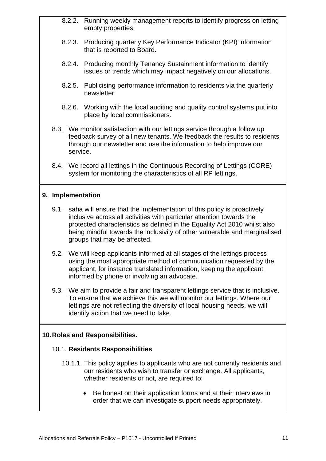- 8.2.2. Running weekly management reports to identify progress on letting empty properties.
- 8.2.3. Producing quarterly Key Performance Indicator (KPI) information that is reported to Board.
- 8.2.4. Producing monthly Tenancy Sustainment information to identify issues or trends which may impact negatively on our allocations.
- 8.2.5. Publicising performance information to residents via the quarterly newsletter.
- 8.2.6. Working with the local auditing and quality control systems put into place by local commissioners.
- 8.3. We monitor satisfaction with our lettings service through a follow up feedback survey of all new tenants. We feedback the results to residents through our newsletter and use the information to help improve our service.
- 8.4. We record all lettings in the Continuous Recording of Lettings (CORE) system for monitoring the characteristics of all RP lettings.

#### **9. Implementation**

- 9.1. saha will ensure that the implementation of this policy is proactively inclusive across all activities with particular attention towards the protected characteristics as defined in the Equality Act 2010 whilst also being mindful towards the inclusivity of other vulnerable and marginalised groups that may be affected.
- 9.2. We will keep applicants informed at all stages of the lettings process using the most appropriate method of communication requested by the applicant, for instance translated information, keeping the applicant informed by phone or involving an advocate.
- 9.3. We aim to provide a fair and transparent lettings service that is inclusive. To ensure that we achieve this we will monitor our lettings. Where our lettings are not reflecting the diversity of local housing needs, we will identify action that we need to take.

#### **10. Roles and Responsibilities.**

#### 10.1. **Residents Responsibilities**

- 10.1.1. This policy applies to applicants who are not currently residents and our residents who wish to transfer or exchange. All applicants, whether residents or not, are required to:
	- Be honest on their application forms and at their interviews in order that we can investigate support needs appropriately.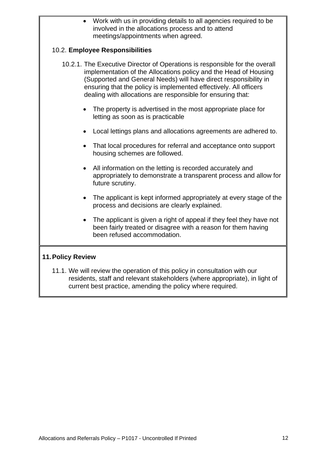Work with us in providing details to all agencies required to be involved in the allocations process and to attend meetings/appointments when agreed.

#### 10.2. **Employee Responsibilities**

- 10.2.1. The Executive Director of Operations is responsible for the overall implementation of the Allocations policy and the Head of Housing (Supported and General Needs) will have direct responsibility in ensuring that the policy is implemented effectively. All officers dealing with allocations are responsible for ensuring that:
	- The property is advertised in the most appropriate place for letting as soon as is practicable
	- Local lettings plans and allocations agreements are adhered to.
	- That local procedures for referral and acceptance onto support housing schemes are followed.
	- All information on the letting is recorded accurately and appropriately to demonstrate a transparent process and allow for future scrutiny.
	- The applicant is kept informed appropriately at every stage of the process and decisions are clearly explained.
	- The applicant is given a right of appeal if they feel they have not been fairly treated or disagree with a reason for them having been refused accommodation.

#### **11. Policy Review**

11.1. We will review the operation of this policy in consultation with our residents, staff and relevant stakeholders (where appropriate), in light of current best practice, amending the policy where required.